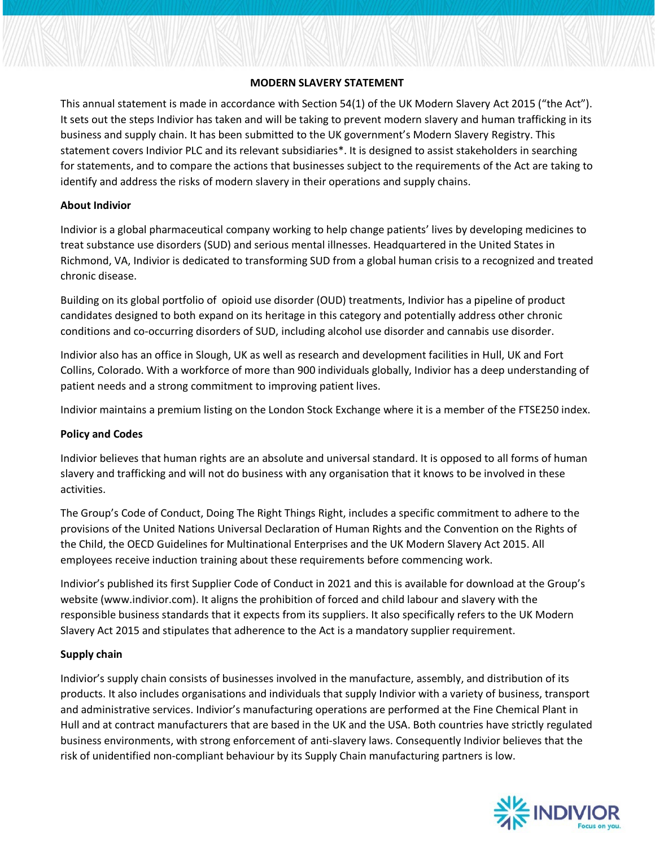### **MODERN SLAVERY STATEMENT**

This annual statement is made in accordance with Section 54(1) of the UK Modern Slavery Act 2015 ("the Act"). It sets out the steps Indivior has taken and will be taking to prevent modern slavery and human trafficking in its business and supply chain. It has been submitted to the UK government's Modern Slavery Registry. This statement covers Indivior PLC and its relevant subsidiaries\*. It is designed to assist stakeholders in searching for statements, and to compare the actions that businesses subject to the requirements of the Act are taking to identify and address the risks of modern slavery in their operations and supply chains.

### **About Indivior**

Indivior is a global pharmaceutical company working to help change patients' lives by developing medicines to treat substance use disorders (SUD) and serious mental illnesses. Headquartered in the United States in Richmond, VA, Indivior is dedicated to transforming SUD from a global human crisis to a recognized and treated chronic disease.

Building on its global portfolio of opioid use disorder (OUD) treatments, Indivior has a pipeline of product candidates designed to both expand on its heritage in this category and potentially address other chronic conditions and co-occurring disorders of SUD, including alcohol use disorder and cannabis use disorder.

Indivior also has an office in Slough, UK as well as research and development facilities in Hull, UK and Fort Collins, Colorado. With a workforce of more than 900 individuals globally, Indivior has a deep understanding of patient needs and a strong commitment to improving patient lives.

Indivior maintains a premium listing on the London Stock Exchange where it is a member of the FTSE250 index.

#### **Policy and Codes**

Indivior believes that human rights are an absolute and universal standard. It is opposed to all forms of human slavery and trafficking and will not do business with any organisation that it knows to be involved in these activities.

The Group's Code of Conduct, Doing The Right Things Right, includes a specific commitment to adhere to the provisions of the United Nations Universal Declaration of Human Rights and the Convention on the Rights of the Child, the OECD Guidelines for Multinational Enterprises and the UK Modern Slavery Act 2015. All employees receive induction training about these requirements before commencing work.

Indivior's published its first Supplier Code of Conduct in 2021 and this is available for download at the Group's website (www.indivior.com). It aligns the prohibition of forced and child labour and slavery with the responsible business standards that it expects from its suppliers. It also specifically refers to the UK Modern Slavery Act 2015 and stipulates that adherence to the Act is a mandatory supplier requirement.

# **Supply chain**

Indivior's supply chain consists of businesses involved in the manufacture, assembly, and distribution of its products. It also includes organisations and individuals that supply Indivior with a variety of business, transport and administrative services. Indivior's manufacturing operations are performed at the Fine Chemical Plant in Hull and at contract manufacturers that are based in the UK and the USA. Both countries have strictly regulated business environments, with strong enforcement of anti-slavery laws. Consequently Indivior believes that the risk of unidentified non-compliant behaviour by its Supply Chain manufacturing partners is low.

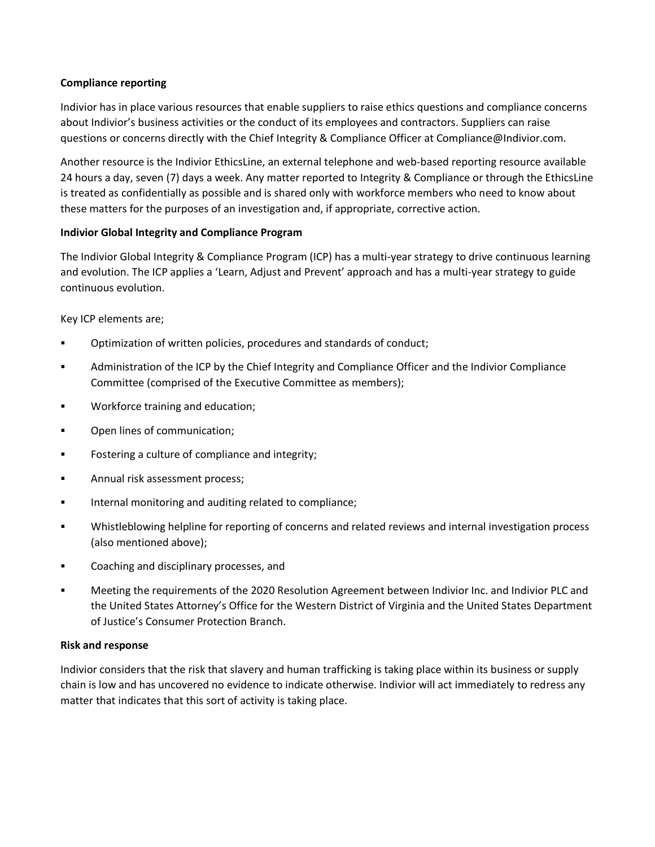## **Compliance reporting**

Indivior has in place various resources that enable suppliers to raise ethics questions and compliance concerns about Indivior's business activities or the conduct of its employees and contractors. Suppliers can raise questions or concerns directly with the Chief Integrity & Compliance Officer at Compliance@Indivior.com.

Another resource is the Indivior EthicsLine, an external telephone and web-based reporting resource available 24 hours a day, seven (7) days a week. Any matter reported to Integrity & Compliance or through the EthicsLine is treated as confidentially as possible and is shared only with workforce members who need to know about these matters for the purposes of an investigation and, if appropriate, corrective action.

## **Indivior Global Integrity and Compliance Program**

The Indivior Global Integrity & Compliance Program (ICP) has a multi-year strategy to drive continuous learning and evolution. The ICP applies a 'Learn, Adjust and Prevent' approach and has a multi-year strategy to guide continuous evolution.

Key ICP elements are;

- Optimization of written policies, procedures and standards of conduct;
- Administration of the ICP by the Chief Integrity and Compliance Officer and the Indivior Compliance Committee (comprised of the Executive Committee as members);
- **Workforce training and education;**
- Open lines of communication;
- **Fostering a culture of compliance and integrity;**
- Annual risk assessment process;
- **IFFELT** internal monitoring and auditing related to compliance;
- Whistleblowing helpline for reporting of concerns and related reviews and internal investigation process (also mentioned above);
- **EXECOM** Coaching and disciplinary processes, and
- Meeting the requirements of the 2020 Resolution Agreement between Indivior Inc. and Indivior PLC and the United States Attorney's Office for the Western District of Virginia and the United States Department of Justice's Consumer Protection Branch.

#### **Risk and response**

Indivior considers that the risk that slavery and human trafficking is taking place within its business or supply chain is low and has uncovered no evidence to indicate otherwise. Indivior will act immediately to redress any matter that indicates that this sort of activity is taking place.